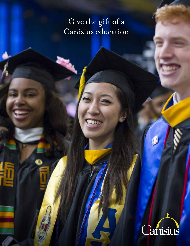# Give the gift of a Canisius education

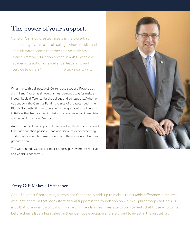## The power of your support.

"One of Canisius' greatest assets is the close-knit community - we're a Jesuit college where faculty and administrators come together to give students a transformative education rooted in a 450-year-old academic tradition of excellence, leadership and service to others." *President John J. Hurley*

What makes this all possible? Current-use support! Powered by alumni and friends at all levels, annual current-use gifts make an indescribable difference for the college and our students. Whether you support the Canisius Fund - the area of greatest need - the Blue & Gold Athletics Fund, academic programs of excellence or initiatives that fuel our Jesuit mission, you are having an immediate and lasting impact on Canisius.

Annual donors play an important role in making the transformational Canisius education possible - and accessible to every deserving student who wants to make the kind of difference only a Canisius graduate can.

The world needs Canisius graduates, perhaps now more than ever, and Canisius needs you.



### Every Gift Makes a Difference

Annual support from alumni, parents and friends truly adds up to make a remarkable difference in the lives of our students. In fact, consistent annual support is the foundation on which all philanthropy to Canisius is built. And, annual participation from alumni sends a clear message to our students that those who came before them place a high value on their Canisius education and are proud to invest in the institution.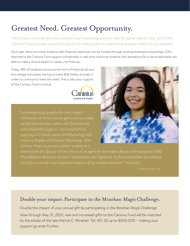## Greatest Need. Greatest Opportunity.

The Canisius Fund remains the college's top fundraising priority - and for good reason. Your gift to the Canisius Fund provides a powerful source of funding used to address the greatest needs of our students.

Each year, there are more students with financial need than can be funded through existing endowed scholarships. Gifts directed to the Canisius Fund support scholarships in real-time, ensuring students with aspirations for a Jesuit education are able to make a choice based on values, not finances.

Today, 98% of students receive some form of financial aid and the college anticipates having to invest \$28 million annually in order to continue to meet this need. That is why your support of the Canisius Fund is critical.



*"I am exceedingly grateful for the college's community of donors whose generosity provided myself and countless others with financial aid and scholarship support. I am a sophomore majoring in Criminal Justice and Psychology with minors in English and Forensic Psychology. After Canisius I hope to pursue a career working as a* 



*detective for the Special Victims Unit or as an agent for the Federal Bureau of Investigation (FBI). The additional financial aid that I received this year lightened my financial burden and allowed me to focus on the most important aspects of my college education! Thank you!*

### Double your impact. Participate in the Minehan Magis Challenge.

Double the impact of your annual gift by participating in the Minehan *Magis* Challenge.

Now through May 31, 2022, new and increased gifts to the Canisius Fund will be matched by the estate of the late Patrick C. Minehan '50, MS '52 up to \$500,000 – making your support go even further.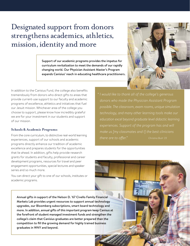## Designated support from donors strengthens academics, athletics, mission, identity and more

Support of our academic programs provides the impetus for curriculum revitalization to meet the demands of our rapidly changing world. Our Physician Assistant Master's Program expands Canisius' reach in educating healthcare practitioners.



In addition to the Canisius Fund, the college also benefits tremendously from donors who direct gifts to areas that provide current-use support to our faculty and academic programs of excellence, athletics and initiatives that fuel our Jesuit mission. Whichever area of the college you choose to support, please know how incredibly grateful we are for your investment in our students and support of our mission.

#### **Schools & Academic Programs:**

From the core curriculum, to distinctive real-world learning experiences, support of our schools and academic programs directly enhance our tradition of academic excellence and prepares students for the opportunities that lie ahead. In addition, gifts help provide research grants for students and faculty, professional and career development programs, resources for travel and peer engagement opportunities, special lectures and speaker series and so much more.

You can direct your gift to one of our schools, institutes or academic programs.

*" I would like to thank all of the college's generous donors who made the Physician Assistant Program possible. The classroom, exam rooms, unique simulation technology, and many other learning tools make our education excel beyond graduate level didactic learning experiences. Support of the program has and will make us [my classmates and I] the best clinicians there are to offer." Christina Bush '23*

Annual gifts in support of the Nelson D. '67 Civello Family Financial Markets Lab provides urgent resources to support annual technology upgrades, our Bloomberg subscriptions, smart board technology and more. In addition, annual gifts of this important program keep Canisus at the forefront of student managed investment funds and strengthen the college's claim that Canisius graduates are better prepared than the competition to fill the growing demand for highly trained business graduates in WNY and beyond.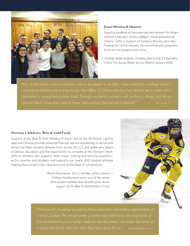

#### **Jesuit Mission & Identity:**

Inspiring students to become men and women for others remains a key part of the college's Jesuit educational mission. Gifts in support of Campus Ministry provides funding for virtual retreats, service immersion programs, local service projects and more.

 < *Undergraduate students, including Zach Lundy '22 (top left), in Erie, P.A. during Winter Service Week in January 2020.* 

*"Part of the reason I came to Canisius was to go deeper in my faith. I was looking for a college where I could grow intellectually and spiritually. The Office of Campus Ministry has allowed me to meet others interested in strengthening their faith. Through wonderful retreats such as Kairos, Magis, and Winter*  Service Week I have been able to make relationships that will last a lifetime!" Zach Lundy '22

#### **Division I Athletics: Blue & Gold Fund:**

Support of the Blue & Gold Athletics Fund or one of the 16 Division I sports teams at Canisius provides essential financial aid and scholarship to recruit and enroll top-flight student athletes from across the U.S. and globe who desire a Canisius education and the opportunity to compete at the Division I level. Gifts to athletics also supports team travel, training and learning experiences for coaches and students and supports our nearly 400 student-athletes helping them excel in the classroom and on the field of competition.

> *Maxim Kouznetsov '24 is a member of the Canisius* > *College Hockey team and is one of the nearly 400 student-athletes that benefits from donor support of the Blue & Gold Athletics Fund.*



*"Thank you for providing me and my fellow classmates with endless opportunities at Canisius College. We are genuinely grateful and understand the magnitude of the contributions you provide. I wish for the day when I can shake the hand of*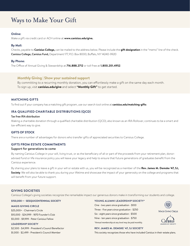### Ways to Make Your Gift

#### **Online:**

Make a gift via credit card or ACH online at **www.canisius.edu/give.**

#### **By Mail:**

Checks, payable to **Canisius College,** can be mailed to the address below. Please include the **gift designation** in the "memo" line of the check. Canisius College, Canisius Fund, Department 177, P.O. Box 8000, Buffalo, NY 14240-9920

#### **By Phone:**

The Office of Annual Giving & Stewardship at **716.888.2712** or toll free at **1.800.201.4952**.

#### **Monthly Giving | Show your sustained support**

By committing to a recurring monthly donation, you can effortlessly make a gift on the same day each month. To sign up, visit **canisius.edu/give** and select **"Monthly Gift"** to get started.

#### **MATCHING GIFTS**

To find out if your company has a matching gift program, use our search tool online at **canisius.edu/matching-gifts**

#### **IRA QUALIFIED CHARITABLE DISTRIBUTIONS (QCD)**

#### Tax free IRA distribution

Making a charitable donation through a qualified charitable distribution (QCD), also known as an IRA Rollover, continues to be a smart and tax-efficient way to give.

#### **GIFTS OF STOCK**

There are a number of advantages for donors who transfer gifts of appreciated securities to Canisius College.

#### **GIFTS FROM ESTATE COMMITMENTS**

#### Support for generations to come

By naming Canisius College in your will, living trust, or as the beneficiary of all or part of the proceeds from your retirement plan, donoradvised fund or life insurance policy you will leave your legacy and help to ensure that future generations of graduates benefit from the Canisius experience.

By sharing your plans to leave a gift in your will or estate with us, you will be recognized as a member of the **Rev. James M. Demske '47, SJ, Society**. We will also be able to thank you during your lifetime and showcase the impact of your generosity on the college and programs that will benefit from your future support.

#### **GIVING SOCIETIES**

Canisius College's giving societies recognize the remarkable impact our generous donors make in transforming our students and college.

**\$150,000 + - SESQUICENTENNIAL SOCIETY** 

#### **MAGIS GIVING CIRCLE**

\$25,000+ - Chairman's Circle \$10,000 - \$24,999 - 1870 Founder's Club \$5,000 - \$9,999 - Peter Canisius Fellow

#### **LEADERSHIP SOCIETY**

\$2,500 - \$4,999 - President's Council Benefactor \$1,000 - \$2,499 - President's Council Member

#### **YOUNG ALUMNI LEADERSHIP SOCIETY\***

One - two years since graduation - \$100 Three - five years since graduation - \$250 Six - eight years since graduation - \$500 Nine - ten years since graduation - \$750 *\*Annual membership at any level may be paid monthly.*  MAGIS GIVING CIRCLE .anisius LEADERSHIP SOCIETY

#### **REV. JAMES M. DEMSKE '47, SJ SOCIETY**

This society recognizes those who have included Canisius in their estate plans.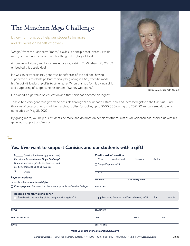## The Minehan *Magis* Challenge

By giving more, you help our students be more and do more on behalf of others.

 $\frac{3}{2}$ 

"Magis," from the Latin term "more," is a Jesuit principle that invites us to do more, be more and achieve more for the greater glory of God.

A humble individual, and long-time educator, Patrick C. Minehan '50, MS '52 embodied this Jesuit ideal.

He was an extraordinarily generous benefactor of the college, having supported our students philanthropically beginning in 1975, when he made his first of 49 leadership gifts to *alma mater.* When thanked for his giving spirit and outpouring of support, he responded, "Money well spent."



*Patrick C. Minehan '50, MS '52*

He placed a high value on education and that spirit has become his legacy.

Thanks to a very generous gift made possible through Mr. Minehan's estate, new and increased gifts to the Canisius Fund – the area of greatest need – will be matched, dollar-for-dollar, up to \$500,000 during the 2021-22 annual campaign, which concludes on May 31, 2022.

By giving more, you help our students be more and do more on behalf of others. Just as Mr. Minehan has inspired us with his generous support of Canisius.

### **Yes, I/we want to support Canisius and our students with a gift!**

| $\Box$ $\Omega$ Canisius Fund (area of greatest need)                              | <b>Credit card information:</b> |                    |                  |             |
|------------------------------------------------------------------------------------|---------------------------------|--------------------|------------------|-------------|
| Participate in the Minehan Magis Challenge!                                        | $\Box$ Visa                     | $\Box$ Master Card | $\Box$ Discover  | $\Box$ AmEx |
| New and increased gifts to the Canisius Fund<br>are being matched up to \$500,000. | □ Single Payment of \$<br>CARD# |                    |                  |             |
|                                                                                    |                                 |                    |                  |             |
| <b>Payment options:</b><br>Securely online at canisius.edu/give                    | <b>EXP. DATE</b>                |                    | CVV # (REQUIRED) |             |
| $\Box$ Check payment: Enclosed is a check made payable to Canisius College.        | <b>SIGNATURE</b>                |                    |                  |             |
| Become a monthly giving donor!                                                     |                                 |                    |                  |             |
| <b>NAME</b>                                                                        | <b>CLASS YEAR</b>               |                    |                  |             |
| <b>MAILING ADDRESS</b>                                                             | <b>CITY</b>                     |                    | <b>STATE</b>     | <b>ZIP</b>  |
| <b>EMAIL</b>                                                                       | <b>CELL PHONE</b>               |                    |                  |             |
| Make your gift online at canisius.edu/give                                         |                                 |                    |                  |             |